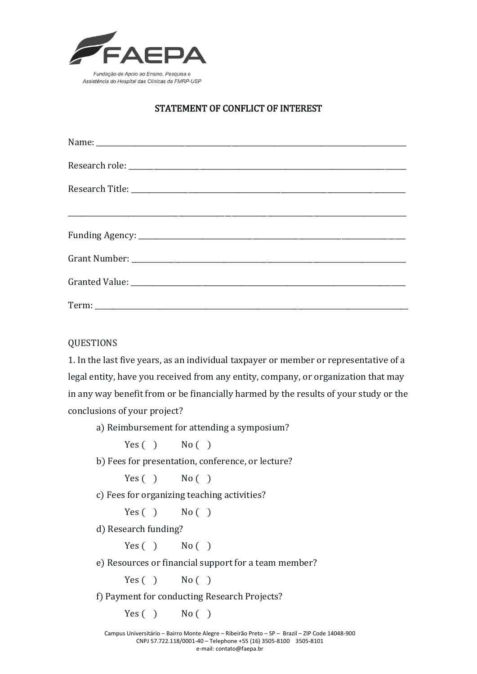

## STATEMENT OF CONFLICT OF INTEREST

## QUESTIONS

1. In the last five years, as an individual taxpayer or member or representative of a legal entity, have you received from any entity, company, or organization that may in any way benefit from or be financially harmed by the results of your study or the conclusions of your project?

a) Reimbursement for attending a symposium?

 $Yes( )$  No ()

b) Fees for presentation, conference, or lecture?

 $Yes( )$  No ()

c) Fees for organizing teaching activities?

 $Yes( )$  No ()

d) Research funding?

 $Yes( )$  No  $( )$ 

e) Resources or financial support for a team member?

 $Yes( )$  No ()

f) Payment for conducting Research Projects?

 $Yes( )$  No ( )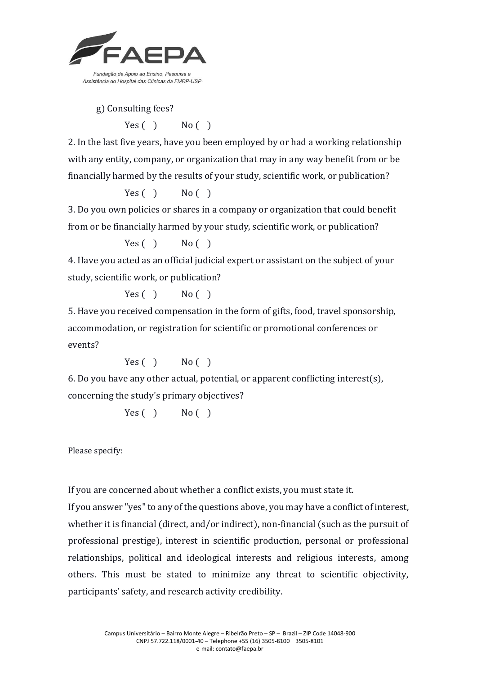

g) Consulting fees?

 $Yes( )$  No ( )

2. In the last five years, have you been employed by or had a working relationship with any entity, company, or organization that may in any way benefit from or be financially harmed by the results of your study, scientific work, or publication?

 $Yes( )$  No ( )

3. Do you own policies or shares in a company or organization that could benefit from or be financially harmed by your study, scientific work, or publication?

 $Yes( )$  No ( )

4. Have you acted as an official judicial expert or assistant on the subject of your study, scientific work, or publication?

 $Yes( )$  No ( )

5. Have you received compensation in the form of gifts, food, travel sponsorship, accommodation, or registration for scientific or promotional conferences or events?

 $Yes( )$  No ( )

6. Do you have any other actual, potential, or apparent conflicting interest(s), concerning the study's primary objectives?

 $Yes( )$  No ()

Please specify:

If you are concerned about whether a conflict exists, you must state it.

If you answer "yes" to any of the questions above, you may have a conflict of interest, whether it is financial (direct, and/or indirect), non-financial (such as the pursuit of professional prestige), interest in scientific production, personal or professional relationships, political and ideological interests and religious interests, among others. This must be stated to minimize any threat to scientific objectivity, participants' safety, and research activity credibility.